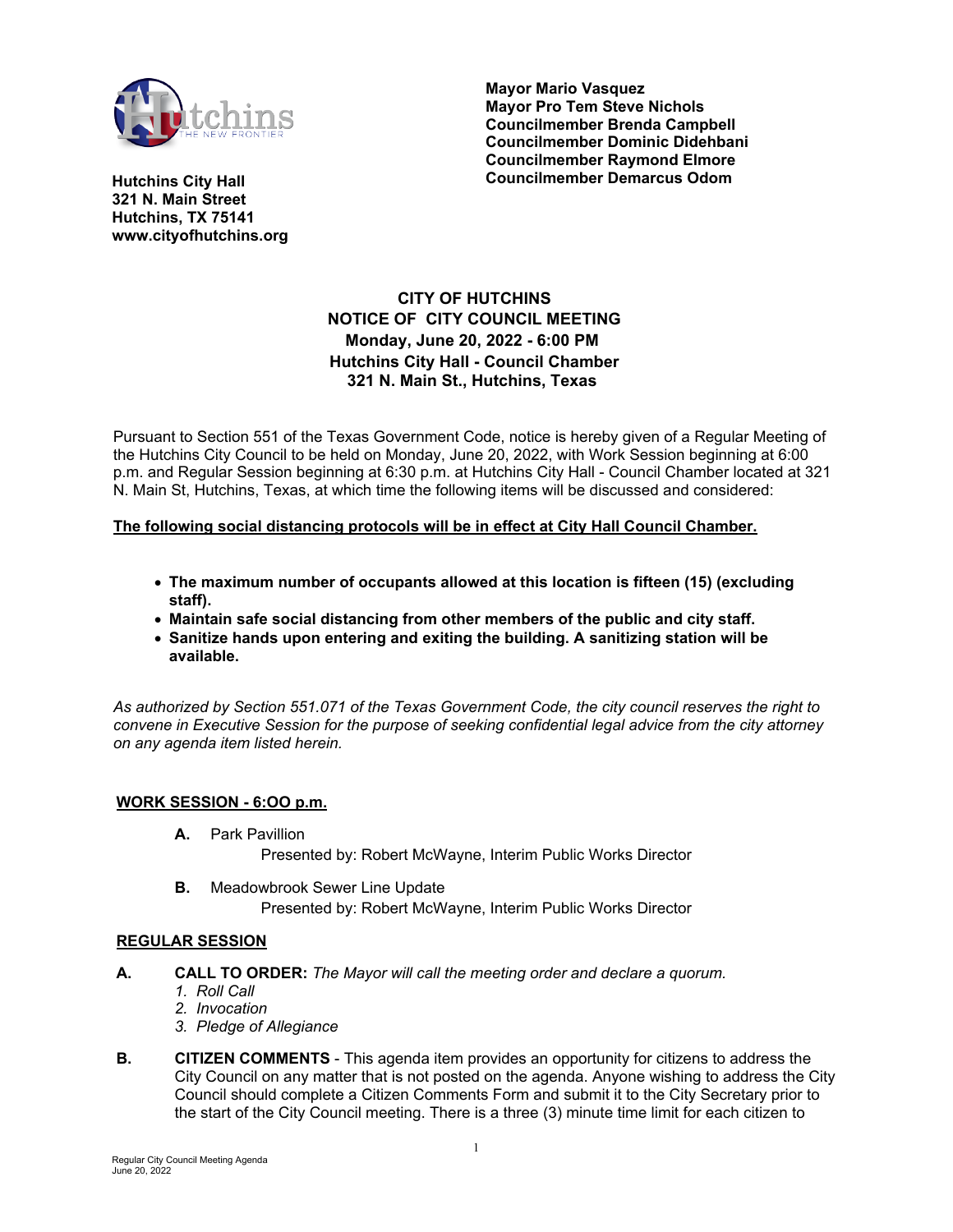

**Mayor Mario Vasquez Mayor Pro Tem Steve Nichols Councilmember Brenda Campbell Councilmember Dominic Didehbani Councilmember Raymond Elmore Councilmember Demarcus Odom**

**Hutchins City Hall 321 N. Main Street Hutchins, TX 75141 www.cityofhutchins.org**

# **CITY OF HUTCHINS NOTICE OF CITY COUNCIL MEETING Monday, June 20, 2022 - 6:00 PM Hutchins City Hall - Council Chamber 321 N. Main St., Hutchins, Texas**

Pursuant to Section 551 of the Texas Government Code, notice is hereby given of a Regular Meeting of the Hutchins City Council to be held on Monday, June 20, 2022, with Work Session beginning at 6:00 p.m. and Regular Session beginning at 6:30 p.m. at Hutchins City Hall - Council Chamber located at 321 N. Main St, Hutchins, Texas, at which time the following items will be discussed and considered:

### **The following social distancing protocols will be in effect at City Hall Council Chamber.**

- **The maximum number of occupants allowed at this location is fifteen (15) (excluding staff).**
- **Maintain safe social distancing from other members of the public and city staff.**
- **Sanitize hands upon entering and exiting the building. A sanitizing station will be available.**

*As authorized by Section 551.071 of the Texas Government Code, the city council reserves the right to convene in Executive Session for the purpose of seeking confidential legal advice from the city attorney on any agenda item listed herein.*

### **WORK SESSION - 6:OO p.m.**

**A.** Park Pavillion

Presented by: Robert McWayne, Interim Public Works Director

**B.** Meadowbrook Sewer Line Update Presented by: Robert McWayne, Interim Public Works Director

### **REGULAR SESSION**

- **A. CALL TO ORDER:** *The Mayor will call the meeting order and declare a quorum.*
	- *1. Roll Call*
	- *2. Invocation*
	- *3. Pledge of Allegiance*
- **B. CITIZEN COMMENTS** This agenda item provides an opportunity for citizens to address the City Council on any matter that is not posted on the agenda. Anyone wishing to address the City Council should complete a Citizen Comments Form and submit it to the City Secretary prior to the start of the City Council meeting. There is a three (3) minute time limit for each citizen to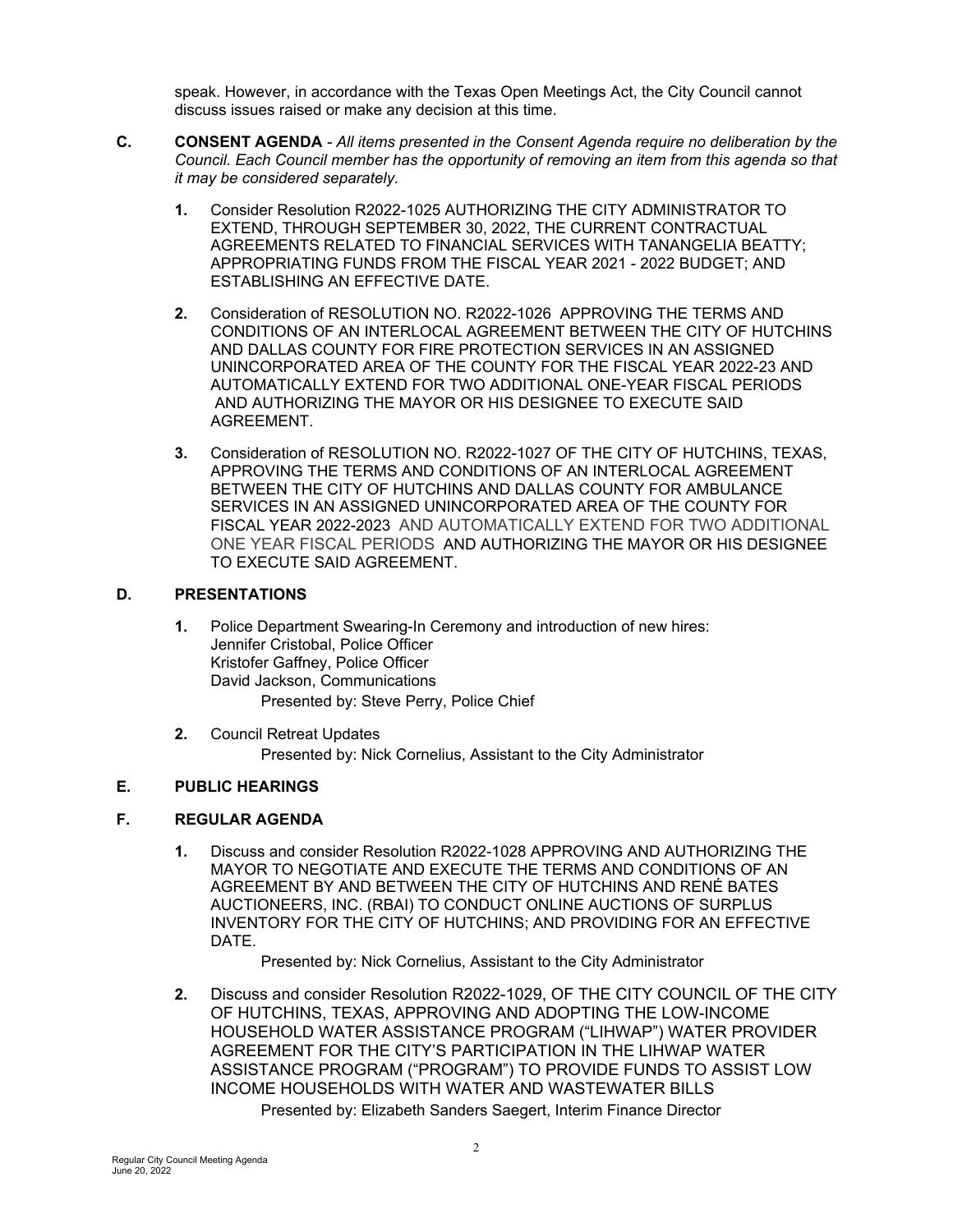speak. However, in accordance with the Texas Open Meetings Act, the City Council cannot discuss issues raised or make any decision at this time.

- **C. CONSENT AGENDA**  *All items presented in the Consent Agenda require no deliberation by the Council. Each Council member has the opportunity of removing an item from this agenda so that it may be considered separately.*
	- **1.** Consider Resolution R2022-1025 AUTHORIZING THE CITY ADMINISTRATOR TO EXTEND, THROUGH SEPTEMBER 30, 2022, THE CURRENT CONTRACTUAL AGREEMENTS RELATED TO FINANCIAL SERVICES WITH TANANGELIA BEATTY; APPROPRIATING FUNDS FROM THE FISCAL YEAR 2021 - 2022 BUDGET; AND ESTABLISHING AN EFFECTIVE DATE.
	- **2.** Consideration of RESOLUTION NO. R2022-1026 APPROVING THE TERMS AND CONDITIONS OF AN INTERLOCAL AGREEMENT BETWEEN THE CITY OF HUTCHINS AND DALLAS COUNTY FOR FIRE PROTECTION SERVICES IN AN ASSIGNED UNINCORPORATED AREA OF THE COUNTY FOR THE FISCAL YEAR 2022-23 AND AUTOMATICALLY EXTEND FOR TWO ADDITIONAL ONE-YEAR FISCAL PERIODS AND AUTHORIZING THE MAYOR OR HIS DESIGNEE TO EXECUTE SAID AGREEMENT.
	- **3.** Consideration of RESOLUTION NO. R2022-1027 OF THE CITY OF HUTCHINS, TEXAS, APPROVING THE TERMS AND CONDITIONS OF AN INTERLOCAL AGREEMENT BETWEEN THE CITY OF HUTCHINS AND DALLAS COUNTY FOR AMBULANCE SERVICES IN AN ASSIGNED UNINCORPORATED AREA OF THE COUNTY FOR FISCAL YEAR 2022-2023 AND AUTOMATICALLY EXTEND FOR TWO ADDITIONAL ONE YEAR FISCAL PERIODS AND AUTHORIZING THE MAYOR OR HIS DESIGNEE TO EXECUTE SAID AGREEMENT.

### **D. PRESENTATIONS**

- **1.** Police Department Swearing-In Ceremony and introduction of new hires: Jennifer Cristobal, Police Officer Kristofer Gaffney, Police Officer David Jackson, Communications Presented by: Steve Perry, Police Chief
- **2.** Council Retreat Updates Presented by: Nick Cornelius, Assistant to the City Administrator

## **E. PUBLIC HEARINGS**

## **F. REGULAR AGENDA**

**1.** Discuss and consider Resolution R2022-1028 APPROVING AND AUTHORIZING THE MAYOR TO NEGOTIATE AND EXECUTE THE TERMS AND CONDITIONS OF AN AGREEMENT BY AND BETWEEN THE CITY OF HUTCHINS AND RENÉ BATES AUCTIONEERS, INC. (RBAI) TO CONDUCT ONLINE AUCTIONS OF SURPLUS INVENTORY FOR THE CITY OF HUTCHINS; AND PROVIDING FOR AN EFFECTIVE DATE.

Presented by: Nick Cornelius, Assistant to the City Administrator

**2.** Discuss and consider Resolution R2022-1029, OF THE CITY COUNCIL OF THE CITY OF HUTCHINS, TEXAS, APPROVING AND ADOPTING THE LOW-INCOME HOUSEHOLD WATER ASSISTANCE PROGRAM ("LIHWAP") WATER PROVIDER AGREEMENT FOR THE CITY'S PARTICIPATION IN THE LIHWAP WATER ASSISTANCE PROGRAM ("PROGRAM") TO PROVIDE FUNDS TO ASSIST LOW INCOME HOUSEHOLDS WITH WATER AND WASTEWATER BILLS Presented by: Elizabeth Sanders Saegert, Interim Finance Director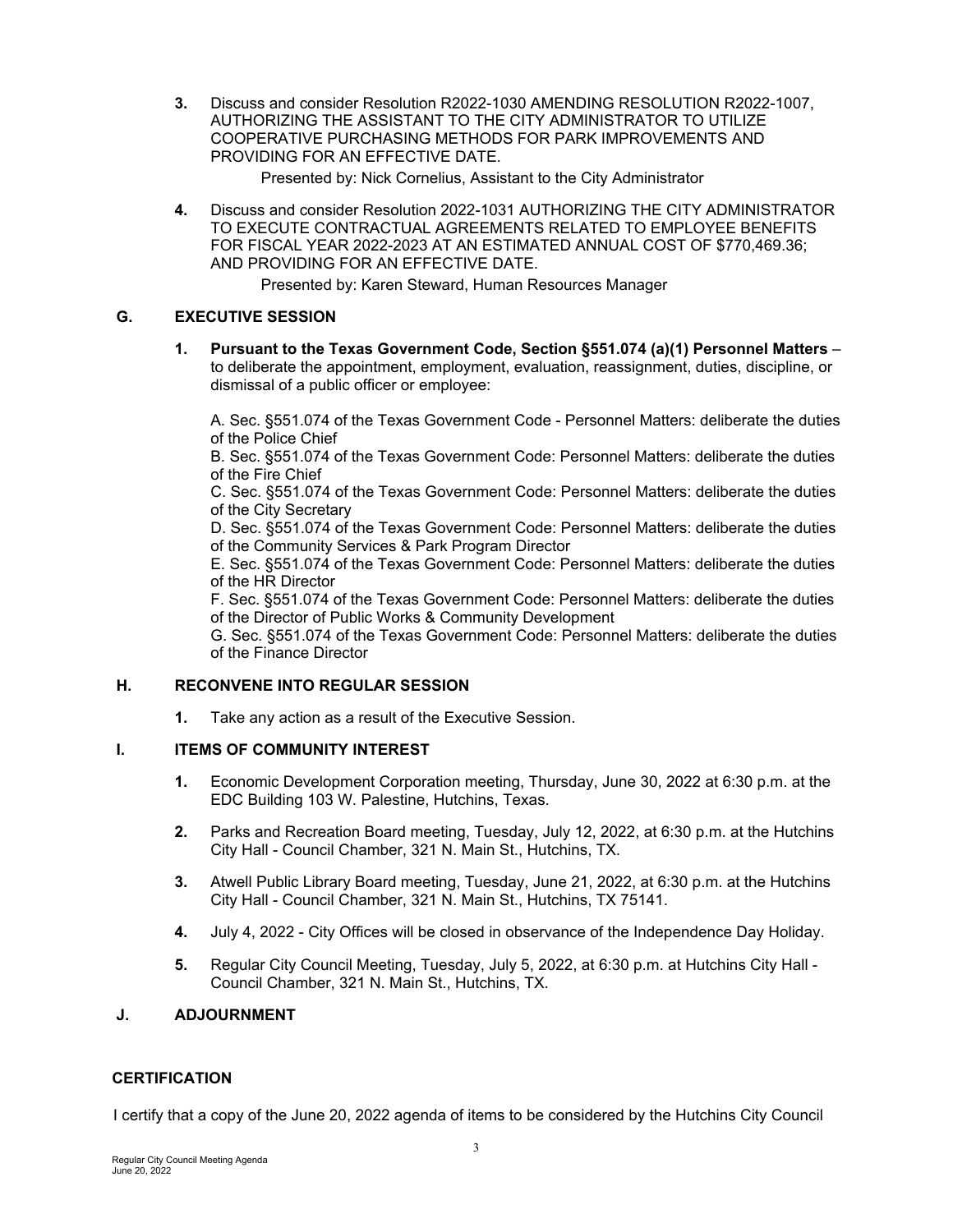**3.** Discuss and consider Resolution R2022-1030 AMENDING RESOLUTION R2022-1007, AUTHORIZING THE ASSISTANT TO THE CITY ADMINISTRATOR TO UTILIZE COOPERATIVE PURCHASING METHODS FOR PARK IMPROVEMENTS AND PROVIDING FOR AN EFFECTIVE DATE.

Presented by: Nick Cornelius, Assistant to the City Administrator

**4.** Discuss and consider Resolution 2022-1031 AUTHORIZING THE CITY ADMINISTRATOR TO EXECUTE CONTRACTUAL AGREEMENTS RELATED TO EMPLOYEE BENEFITS FOR FISCAL YEAR 2022-2023 AT AN ESTIMATED ANNUAL COST OF \$770,469.36; AND PROVIDING FOR AN EFFECTIVE DATE.

Presented by: Karen Steward, Human Resources Manager

### **G. EXECUTIVE SESSION**

**1. Pursuant to the Texas Government Code, Section §551.074 (a)(1) Personnel Matters** – to deliberate the appointment, employment, evaluation, reassignment, duties, discipline, or dismissal of a public officer or employee:

A. Sec. §551.074 of the Texas Government Code - Personnel Matters: deliberate the duties of the Police Chief

B. Sec. §551.074 of the Texas Government Code: Personnel Matters: deliberate the duties of the Fire Chief

C. Sec. §551.074 of the Texas Government Code: Personnel Matters: deliberate the duties of the City Secretary

D. Sec. §551.074 of the Texas Government Code: Personnel Matters: deliberate the duties of the Community Services & Park Program Director

E. Sec. §551.074 of the Texas Government Code: Personnel Matters: deliberate the duties of the HR Director

F. Sec. §551.074 of the Texas Government Code: Personnel Matters: deliberate the duties of the Director of Public Works & Community Development

G. Sec. §551.074 of the Texas Government Code: Personnel Matters: deliberate the duties of the Finance Director

### **H. RECONVENE INTO REGULAR SESSION**

**1.** Take any action as a result of the Executive Session.

### **I. ITEMS OF COMMUNITY INTEREST**

- **1.** Economic Development Corporation meeting, Thursday, June 30, 2022 at 6:30 p.m. at the EDC Building 103 W. Palestine, Hutchins, Texas.
- **2.** Parks and Recreation Board meeting, Tuesday, July 12, 2022, at 6:30 p.m. at the Hutchins City Hall - Council Chamber, 321 N. Main St., Hutchins, TX.
- **3.** Atwell Public Library Board meeting, Tuesday, June 21, 2022, at 6:30 p.m. at the Hutchins City Hall - Council Chamber, 321 N. Main St., Hutchins, TX 75141.
- **4.** July 4, 2022 City Offices will be closed in observance of the Independence Day Holiday.
- **5.** Regular City Council Meeting, Tuesday, July 5, 2022, at 6:30 p.m. at Hutchins City Hall Council Chamber, 321 N. Main St., Hutchins, TX.

### **J. ADJOURNMENT**

### **CERTIFICATION**

I certify that a copy of the June 20, 2022 agenda of items to be considered by the Hutchins City Council